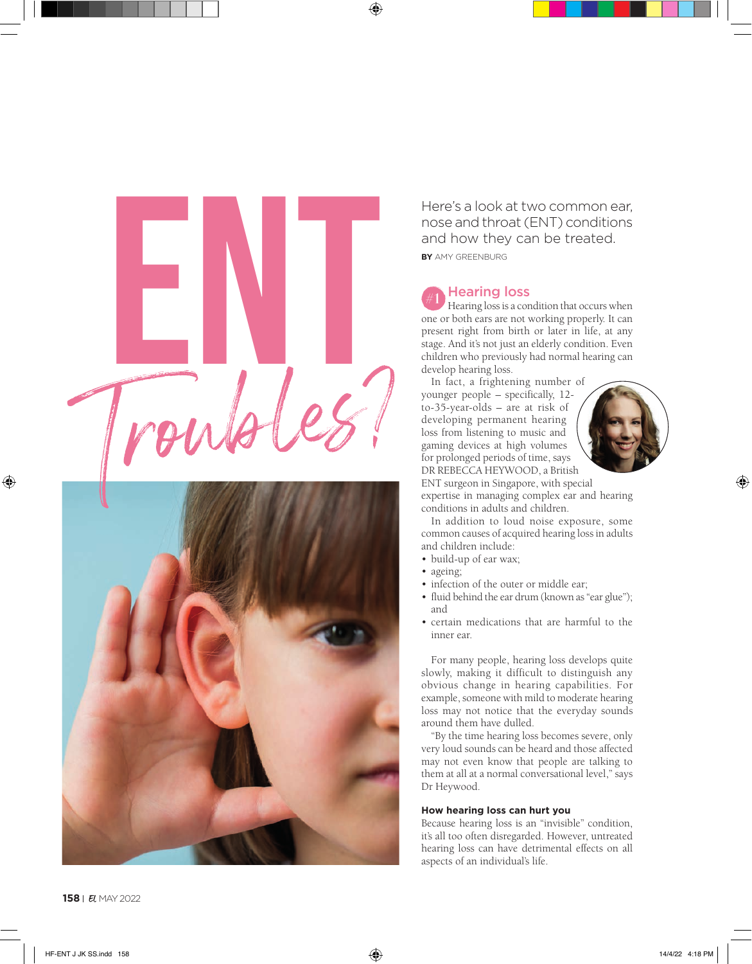

**BY** AMY GREENBURG Here's a look at two common ear, nose and throat (ENT) conditions and how they can be treated.

# **Hearing loss**

Hearing loss is a condition that occurs when one or both ears are not working properly. It can present right from birth or later in life, at any stage. And it's not just an elderly condition. Even children who previously had normal hearing can develop hearing loss.

In fact, a frightening number of younger people – specifically, 12 to-35-year-olds – are at risk of developing permanent hearing loss from listening to music and gaming devices at high volumes for prolonged periods of time, says DR REBECCA HEYWOOD, a British



ENT surgeon in Singapore, with special expertise in managing complex ear and hearing conditions in adults and children.

In addition to loud noise exposure, some common causes of acquired hearing loss in adults and children include:

- build-up of ear wax;
- ageing;
- infection of the outer or middle ear;
- fluid behind the ear drum (known as "ear glue"); and
- certain medications that are harmful to the inner ear.

For many people, hearing loss develops quite slowly, making it difficult to distinguish any obvious change in hearing capabilities. For example, someone with mild to moderate hearing loss may not notice that the everyday sounds around them have dulled.

"By the time hearing loss becomes severe, only very loud sounds can be heard and those affected may not even know that people are talking to them at all at a normal conversational level," says Dr Heywood.

## **How hearing loss can hurt you**

Because hearing loss is an "invisible" condition, it's all too often disregarded. However, untreated hearing loss can have detrimental effects on all aspects of an individual's life.